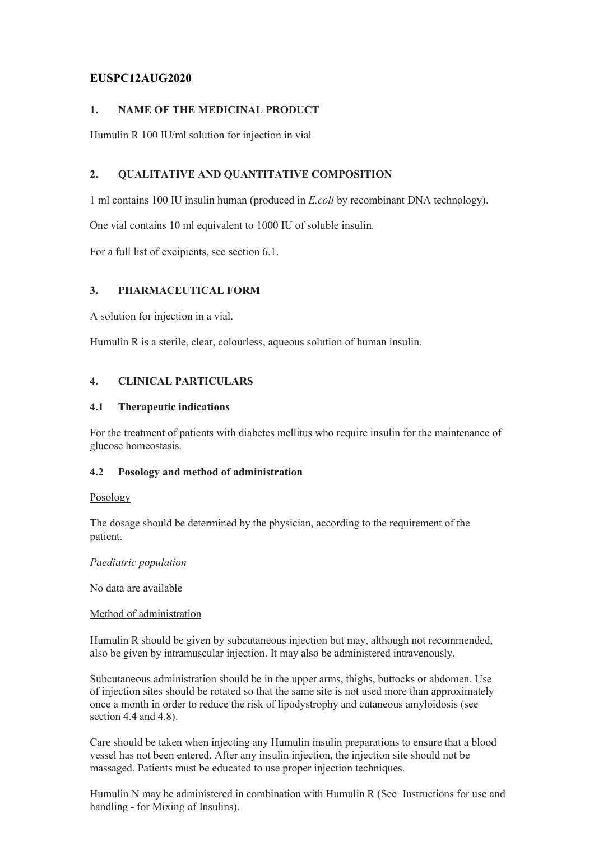# **EUSPC12AUG2020**

### **1. NAME OF THE MEDICINAL PRODUCT**

Humulin R 100 IU/ml solution for injection in vial

### **2. QUALITATIVE AND QUANTITATIVE COMPOSITION**

1 ml contains 100 IU insulin human (produced in *E.coli* by recombinant DNA technology).

One vial contains 10 ml equivalent to 1000 IU of soluble insulin.

For a full list of excipients, see section 6.1.

### **3. PHARMACEUTICAL FORM**

A solution for injection in a vial.

Humulin R is a sterile, clear, colourless, aqueous solution of human insulin.

### **4. CLINICAL PARTICULARS**

#### **4.1 Therapeutic indications**

For the treatment of patients with diabetes mellitus who require insulin for the maintenance of glucose homeostasis.

### **4.2 Posology and method of administration**

#### Posology

The dosage should be determined by the physician, according to the requirement of the patient.

#### *Paediatric population*

No data are available

#### Method of administration

Humulin R should be given by subcutaneous injection but may, although not recommended, also be given by intramuscular injection. It may also be administered intravenously.

Subcutaneous administration should be in the upper arms, thighs, buttocks or abdomen. Use of injection sites should be rotated so that the same site is not used more than approximately once a month in order to reduce the risk of lipodystrophy and cutaneous amyloidosis (see section 4.4 and 4.8).

Care should be taken when injecting any Humulin insulin preparations to ensure that a blood vessel has not been entered. After any insulin injection, the injection site should not be massaged. Patients must be educated to use proper injection techniques.

Humulin N may be administered in combination with Humulin R (See Instructions for use and handling - for Mixing of Insulins).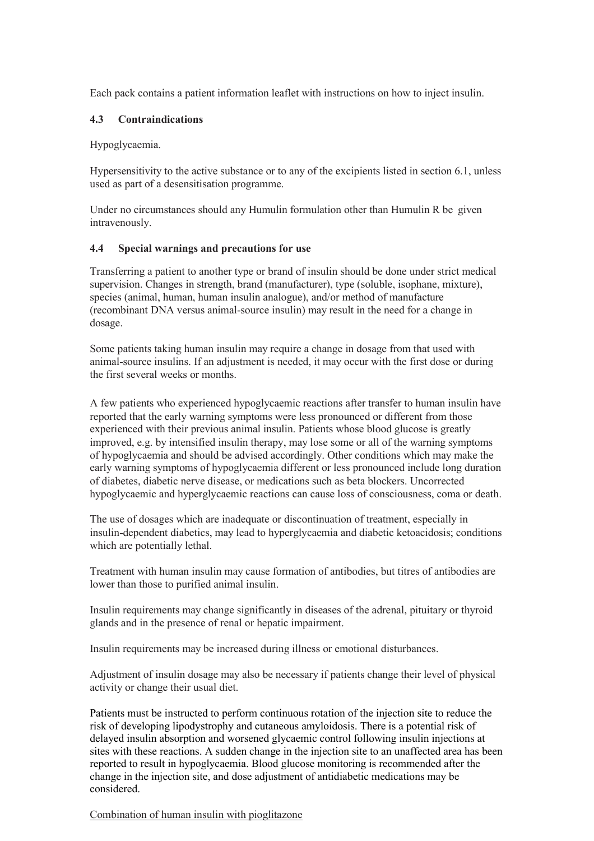Each pack contains a patient information leaflet with instructions on how to inject insulin.

## **4.3 Contraindications**

Hypoglycaemia.

Hypersensitivity to the active substance or to any of the excipients listed in section 6.1, unless used as part of a desensitisation programme.

Under no circumstances should any Humulin formulation other than Humulin R be given intravenously.

### **4.4 Special warnings and precautions for use**

Transferring a patient to another type or brand of insulin should be done under strict medical supervision. Changes in strength, brand (manufacturer), type (soluble, isophane, mixture), species (animal, human, human insulin analogue), and/or method of manufacture (recombinant DNA versus animal-source insulin) may result in the need for a change in dosage.

Some patients taking human insulin may require a change in dosage from that used with animal-source insulins. If an adjustment is needed, it may occur with the first dose or during the first several weeks or months.

A few patients who experienced hypoglycaemic reactions after transfer to human insulin have reported that the early warning symptoms were less pronounced or different from those experienced with their previous animal insulin. Patients whose blood glucose is greatly improved, e.g. by intensified insulin therapy, may lose some or all of the warning symptoms of hypoglycaemia and should be advised accordingly. Other conditions which may make the early warning symptoms of hypoglycaemia different or less pronounced include long duration of diabetes, diabetic nerve disease, or medications such as beta blockers. Uncorrected hypoglycaemic and hyperglycaemic reactions can cause loss of consciousness, coma or death.

The use of dosages which are inadequate or discontinuation of treatment, especially in insulin-dependent diabetics, may lead to hyperglycaemia and diabetic ketoacidosis; conditions which are potentially lethal.

Treatment with human insulin may cause formation of antibodies, but titres of antibodies are lower than those to purified animal insulin.

Insulin requirements may change significantly in diseases of the adrenal, pituitary or thyroid glands and in the presence of renal or hepatic impairment.

Insulin requirements may be increased during illness or emotional disturbances.

Adjustment of insulin dosage may also be necessary if patients change their level of physical activity or change their usual diet.

Patients must be instructed to perform continuous rotation of the injection site to reduce the risk of developing lipodystrophy and cutaneous amyloidosis. There is a potential risk of delayed insulin absorption and worsened glycaemic control following insulin injections at sites with these reactions. A sudden change in the injection site to an unaffected area has been reported to result in hypoglycaemia. Blood glucose monitoring is recommended after the change in the injection site, and dose adjustment of antidiabetic medications may be considered.

Combination of human insulin with pioglitazone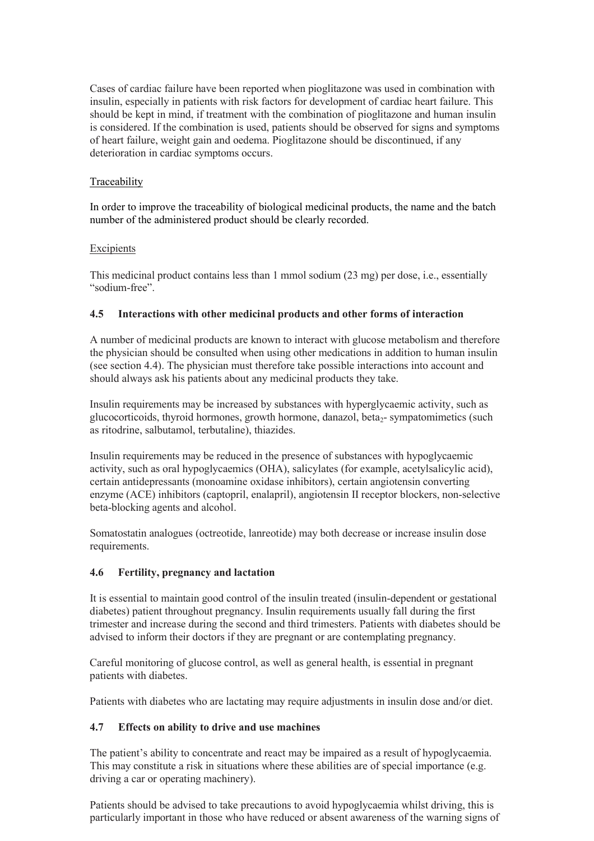Cases of cardiac failure have been reported when pioglitazone was used in combination with insulin, especially in patients with risk factors for development of cardiac heart failure. This should be kept in mind, if treatment with the combination of pioglitazone and human insulin is considered. If the combination is used, patients should be observed for signs and symptoms of heart failure, weight gain and oedema. Pioglitazone should be discontinued, if any deterioration in cardiac symptoms occurs.

# Traceability

In order to improve the traceability of biological medicinal products, the name and the batch number of the administered product should be clearly recorded.

## Excipients

This medicinal product contains less than 1 mmol sodium (23 mg) per dose, i.e., essentially "sodium-free".

## **4.5 Interactions with other medicinal products and other forms of interaction**

A number of medicinal products are known to interact with glucose metabolism and therefore the physician should be consulted when using other medications in addition to human insulin (see section 4.4). The physician must therefore take possible interactions into account and should always ask his patients about any medicinal products they take.

Insulin requirements may be increased by substances with hyperglycaemic activity, such as glucocorticoids, thyroid hormones, growth hormone, danazol, beta<sub>2</sub>- sympatomimetics (such as ritodrine, salbutamol, terbutaline), thiazides.

Insulin requirements may be reduced in the presence of substances with hypoglycaemic activity, such as oral hypoglycaemics (OHA), salicylates (for example, acetylsalicylic acid), certain antidepressants (monoamine oxidase inhibitors), certain angiotensin converting enzyme (ACE) inhibitors (captopril, enalapril), angiotensin II receptor blockers, non-selective beta-blocking agents and alcohol.

Somatostatin analogues (octreotide, lanreotide) may both decrease or increase insulin dose requirements.

### **4.6 Fertility, pregnancy and lactation**

It is essential to maintain good control of the insulin treated (insulin-dependent or gestational diabetes) patient throughout pregnancy. Insulin requirements usually fall during the first trimester and increase during the second and third trimesters. Patients with diabetes should be advised to inform their doctors if they are pregnant or are contemplating pregnancy.

Careful monitoring of glucose control, as well as general health, is essential in pregnant patients with diabetes.

Patients with diabetes who are lactating may require adjustments in insulin dose and/or diet.

### **4.7 Effects on ability to drive and use machines**

The patient's ability to concentrate and react may be impaired as a result of hypoglycaemia. This may constitute a risk in situations where these abilities are of special importance (e.g. driving a car or operating machinery).

Patients should be advised to take precautions to avoid hypoglycaemia whilst driving, this is particularly important in those who have reduced or absent awareness of the warning signs of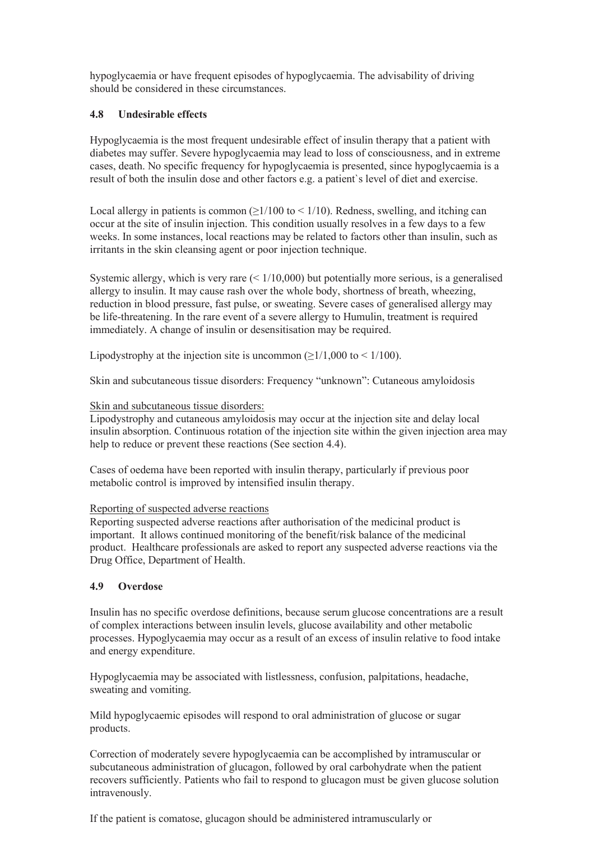hypoglycaemia or have frequent episodes of hypoglycaemia. The advisability of driving should be considered in these circumstances.

# **4.8 Undesirable effects**

Hypoglycaemia is the most frequent undesirable effect of insulin therapy that a patient with diabetes may suffer. Severe hypoglycaemia may lead to loss of consciousness, and in extreme cases, death. No specific frequency for hypoglycaemia is presented, since hypoglycaemia is a result of both the insulin dose and other factors e.g. a patient`s level of diet and exercise.

Local allergy in patients is common  $(\geq 1/100 \text{ to } 1/10)$ . Redness, swelling, and itching can occur at the site of insulin injection. This condition usually resolves in a few days to a few weeks. In some instances, local reactions may be related to factors other than insulin, such as irritants in the skin cleansing agent or poor injection technique.

Systemic allergy, which is very rare  $(1/10,000)$  but potentially more serious, is a generalised allergy to insulin. It may cause rash over the whole body, shortness of breath, wheezing, reduction in blood pressure, fast pulse, or sweating. Severe cases of generalised allergy may be life-threatening. In the rare event of a severe allergy to Humulin, treatment is required immediately. A change of insulin or desensitisation may be required.

Lipodystrophy at the injection site is uncommon  $(\geq 1/1,000 \text{ to } 1/100)$ .

Skin and subcutaneous tissue disorders: Frequency "unknown": Cutaneous amyloidosis

## Skin and subcutaneous tissue disorders:

Lipodystrophy and cutaneous amyloidosis may occur at the injection site and delay local insulin absorption. Continuous rotation of the injection site within the given injection area may help to reduce or prevent these reactions (See section 4.4).

Cases of oedema have been reported with insulin therapy, particularly if previous poor metabolic control is improved by intensified insulin therapy.

### Reporting of suspected adverse reactions

Reporting suspected adverse reactions after authorisation of the medicinal product is important. It allows continued monitoring of the benefit/risk balance of the medicinal product. Healthcare professionals are asked to report any suspected adverse reactions via the Drug Office, Department of Health.

# **4.9 Overdose**

Insulin has no specific overdose definitions, because serum glucose concentrations are a result of complex interactions between insulin levels, glucose availability and other metabolic processes. Hypoglycaemia may occur as a result of an excess of insulin relative to food intake and energy expenditure.

Hypoglycaemia may be associated with listlessness, confusion, palpitations, headache, sweating and vomiting.

Mild hypoglycaemic episodes will respond to oral administration of glucose or sugar products.

Correction of moderately severe hypoglycaemia can be accomplished by intramuscular or subcutaneous administration of glucagon, followed by oral carbohydrate when the patient recovers sufficiently. Patients who fail to respond to glucagon must be given glucose solution intravenously.

If the patient is comatose, glucagon should be administered intramuscularly or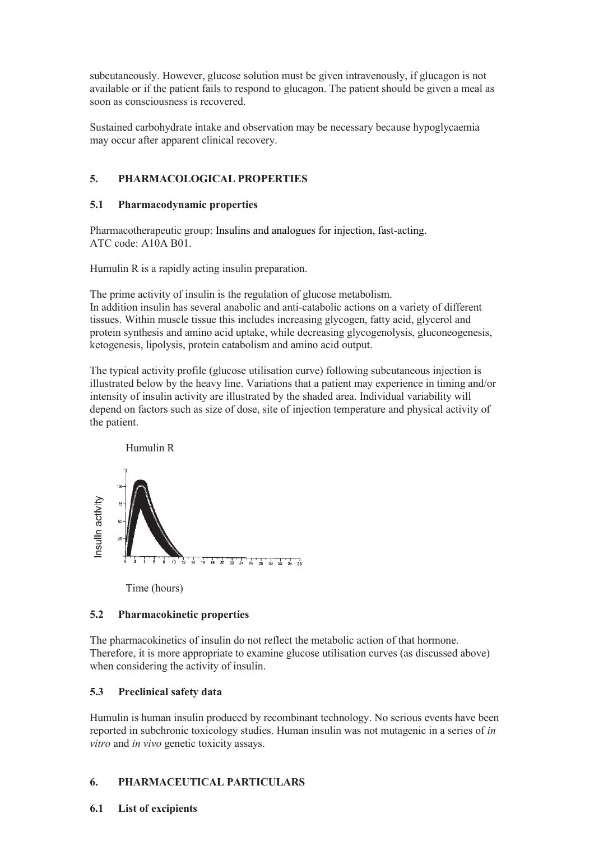subcutaneously. However, glucose solution must be given intravenously, if glucagon is not available or if the patient fails to respond to glucagon. The patient should be given a meal as soon as consciousness is recovered.

Sustained carbohydrate intake and observation may be necessary because hypoglycaemia may occur after apparent clinical recovery.

# **5. PHARMACOLOGICAL PROPERTIES**

# **5.1 Pharmacodynamic properties**

Pharmacotherapeutic group: Insulins and analogues for injection, fast-acting. ATC code: A10A B01.

Humulin R is a rapidly acting insulin preparation.

The prime activity of insulin is the regulation of glucose metabolism. In addition insulin has several anabolic and anti-catabolic actions on a variety of different tissues. Within muscle tissue this includes increasing glycogen, fatty acid, glycerol and protein synthesis and amino acid uptake, while decreasing glycogenolysis, gluconeogenesis, ketogenesis, lipolysis, protein catabolism and amino acid output.

The typical activity profile (glucose utilisation curve) following subcutaneous injection is illustrated below by the heavy line. Variations that a patient may experience in timing and/or intensity of insulin activity are illustrated by the shaded area. Individual variability will depend on factors such as size of dose, site of injection temperature and physical activity of the patient.



Time (hours)

# **5.2 Pharmacokinetic properties**

The pharmacokinetics of insulin do not reflect the metabolic action of that hormone. Therefore, it is more appropriate to examine glucose utilisation curves (as discussed above) when considering the activity of insulin.

# **5.3 Preclinical safety data**

Humulin is human insulin produced by recombinant technology. No serious events have been reported in subchronic toxicology studies. Human insulin was not mutagenic in a series of *in vitro* and *in vivo* genetic toxicity assays.

# **6. PHARMACEUTICAL PARTICULARS**

**6.1 List of excipients**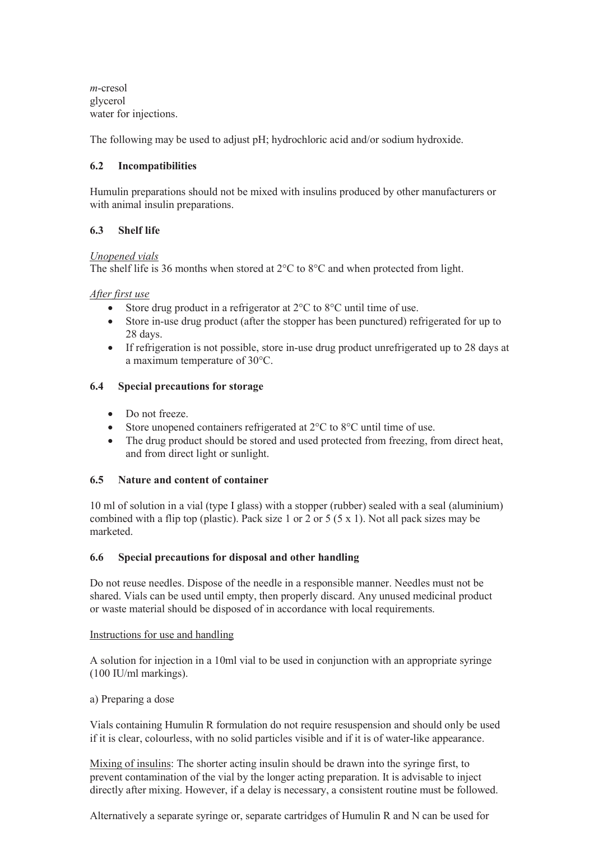*m*-cresol glycerol water for injections.

The following may be used to adjust pH; hydrochloric acid and/or sodium hydroxide.

# **6.2 Incompatibilities**

Humulin preparations should not be mixed with insulins produced by other manufacturers or with animal insulin preparations.

## **6.3 Shelf life**

### *Unopened vials*

The shelf life is 36 months when stored at 2°C to 8°C and when protected from light.

### *After first use*

- Store drug product in a refrigerator at  $2^{\circ}$ C to  $8^{\circ}$ C until time of use.
- Store in-use drug product (after the stopper has been punctured) refrigerated for up to 28 days.
- If refrigeration is not possible, store in-use drug product unrefrigerated up to 28 days at a maximum temperature of 30°C.

## **6.4 Special precautions for storage**

- Do not freeze.
- Store unopened containers refrigerated at  $2^{\circ}$ C to  $8^{\circ}$ C until time of use.
- The drug product should be stored and used protected from freezing, from direct heat, and from direct light or sunlight.

### **6.5 Nature and content of container**

10 ml of solution in a vial (type I glass) with a stopper (rubber) sealed with a seal (aluminium) combined with a flip top (plastic). Pack size 1 or 2 or 5 (5 x 1). Not all pack sizes may be marketed.

### **6.6 Special precautions for disposal and other handling**

Do not reuse needles. Dispose of the needle in a responsible manner. Needles must not be shared. Vials can be used until empty, then properly discard. Any unused medicinal product or waste material should be disposed of in accordance with local requirements.

### Instructions for use and handling

A solution for injection in a 10ml vial to be used in conjunction with an appropriate syringe (100 IU/ml markings).

### a) Preparing a dose

Vials containing Humulin R formulation do not require resuspension and should only be used if it is clear, colourless, with no solid particles visible and if it is of water-like appearance.

Mixing of insulins: The shorter acting insulin should be drawn into the syringe first, to prevent contamination of the vial by the longer acting preparation. It is advisable to inject directly after mixing. However, if a delay is necessary, a consistent routine must be followed.

Alternatively a separate syringe or, separate cartridges of Humulin R and N can be used for